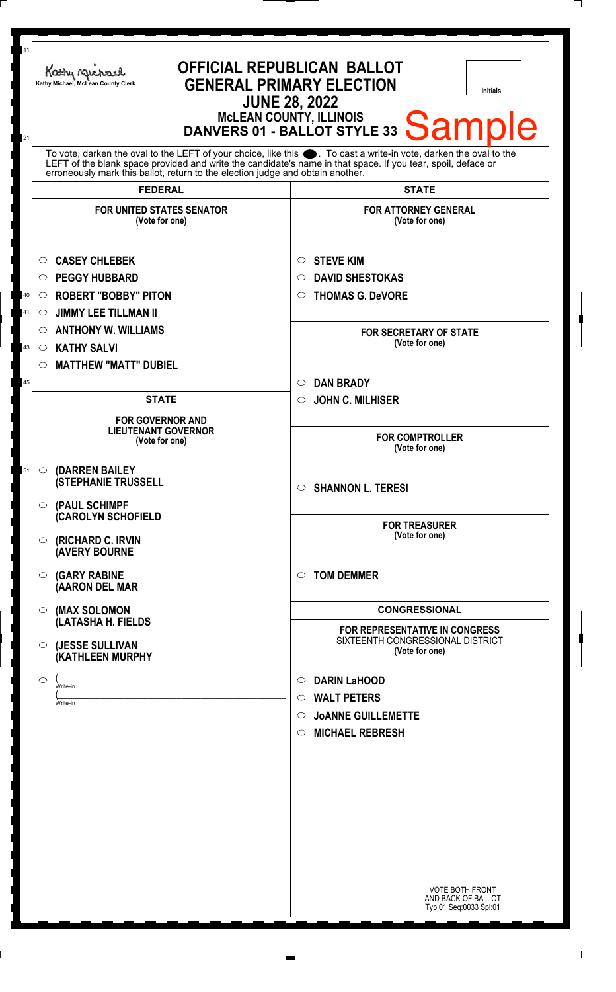| 11<br>21                   | <b>OFFICIAL REPUBLICAN BALLOT</b><br>Kathy Machael<br><b>GENERAL PRIMARY ELECTION</b><br>Kathy Michael, McLean County Clerk<br>Initials<br><b>JUNE 28, 2022</b><br>MCLEAN COUNTY, ILLINOIS<br>DANVERS 01 - BALLOT STYLE 33 Sample                                                                                                                                                                                                                                                                                                                                                                                                                                                                                                                                                   |                                                                                                                                                                                                                                                                                                                                                                                                                                                                                                                                                                                                                                                                                      |
|----------------------------|-------------------------------------------------------------------------------------------------------------------------------------------------------------------------------------------------------------------------------------------------------------------------------------------------------------------------------------------------------------------------------------------------------------------------------------------------------------------------------------------------------------------------------------------------------------------------------------------------------------------------------------------------------------------------------------------------------------------------------------------------------------------------------------|--------------------------------------------------------------------------------------------------------------------------------------------------------------------------------------------------------------------------------------------------------------------------------------------------------------------------------------------------------------------------------------------------------------------------------------------------------------------------------------------------------------------------------------------------------------------------------------------------------------------------------------------------------------------------------------|
|                            | To vote, darken the oval to the LEFT of your choice, like this $\bullet$ . To cast a write-in vote, darken the oval to the LEFT of the blank space provided and write the candidate's name in that space. If you tear, spoil, deface<br>erroneously mark this ballot, return to the election judge and obtain another.                                                                                                                                                                                                                                                                                                                                                                                                                                                              |                                                                                                                                                                                                                                                                                                                                                                                                                                                                                                                                                                                                                                                                                      |
|                            | <b>FEDERAL</b>                                                                                                                                                                                                                                                                                                                                                                                                                                                                                                                                                                                                                                                                                                                                                                      | <b>STATE</b>                                                                                                                                                                                                                                                                                                                                                                                                                                                                                                                                                                                                                                                                         |
| 40<br>41<br>43<br>45<br>51 | <b>FOR UNITED STATES SENATOR</b><br>(Vote for one)<br><b>CASEY CHLEBEK</b><br>$\circ$<br><b>PEGGY HUBBARD</b><br>$\circ$<br><b>ROBERT "BOBBY" PITON</b><br>O<br><b>JIMMY LEE TILLMAN II</b><br>O<br><b>ANTHONY W. WILLIAMS</b><br>$\circ$<br><b>KATHY SALVI</b><br>$\circ$<br><b>MATTHEW "MATT" DUBIEL</b><br>$\circ$<br><b>STATE</b><br><b>FOR GOVERNOR AND</b><br><b>LIEUTENANT GOVERNOR</b><br>(Vote for one)<br>(DARREN BAILEY<br>$\circ$<br><b>(STEPHANIE TRUSSELL</b><br>$\circ$ (PAUL SCHIMPF<br><b>(CAROLYN SCHOFIELD</b><br><b>(RICHARD C. IRVIN</b><br>$\circ$<br><b>AVERY BOURNE</b><br><b>(GARY RABINE</b><br>$\circ$<br>(AARON DEL MAR<br>(MAX SOLOMON<br>$\circ$<br>(LATASHA H. FIELDS<br>(JESSE SULLIVAN<br>$\circ$<br>(KATHLEEN MURPHY<br>◯<br>Write-in<br>Write-in | <b>FOR ATTORNEY GENERAL</b><br>(Vote for one)<br><b>STEVE KIM</b><br>$\circ$<br><b>DAVID SHESTOKAS</b><br>O<br><b>THOMAS G. DeVORE</b><br>O<br><b>FOR SECRETARY OF STATE</b><br>(Vote for one)<br><b>DAN BRADY</b><br>O<br><b>JOHN C. MILHISER</b><br>$\circ$<br><b>FOR COMPTROLLER</b><br>(Vote for one)<br>$\circ$ SHANNON L. TERESI<br><b>FOR TREASURER</b><br>(Vote for one)<br><b>TOM DEMMER</b><br>$\circ$<br><b>CONGRESSIONAL</b><br><b>FOR REPRESENTATIVE IN CONGRESS</b><br>SIXTEENTH CONGRESSIONAL DISTRICT<br>(Vote for one)<br><b>DARIN LaHOOD</b><br>O<br><b>WALT PETERS</b><br>$\bigcirc$<br><b>JOANNE GUILLEMETTE</b><br>$\circ$<br><b>MICHAEL REBRESH</b><br>$\circ$ |
|                            |                                                                                                                                                                                                                                                                                                                                                                                                                                                                                                                                                                                                                                                                                                                                                                                     | <b>VOTE BOTH FRONT</b><br>AND BACK OF BALLOT<br>Typ:01 Seq:0033 Spl:01                                                                                                                                                                                                                                                                                                                                                                                                                                                                                                                                                                                                               |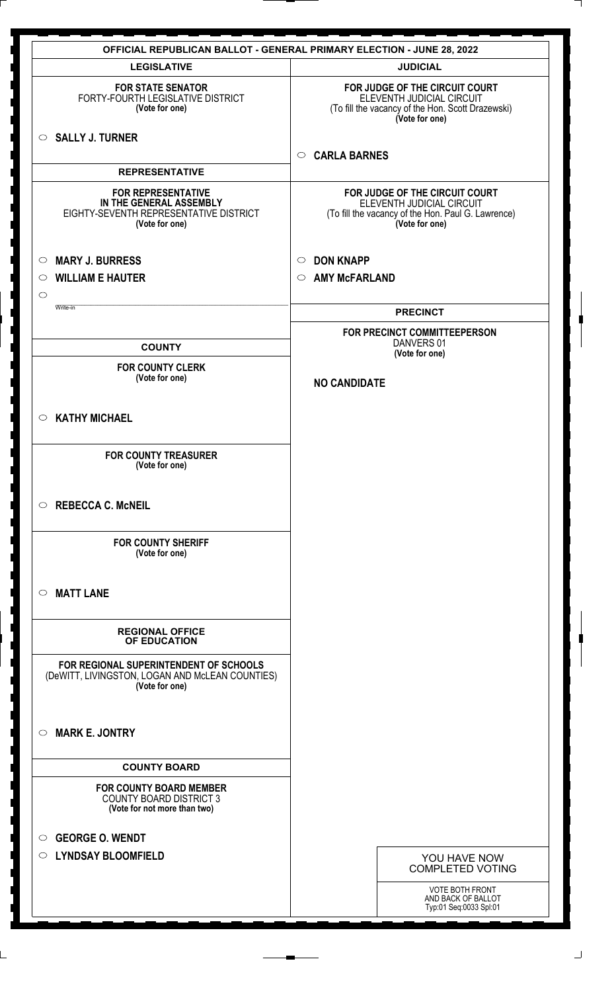|                                                                                                                  | <b>OFFICIAL REPUBLICAN BALLOT - GENERAL PRIMARY ELECTION - JUNE 28, 2022</b>                                                        |
|------------------------------------------------------------------------------------------------------------------|-------------------------------------------------------------------------------------------------------------------------------------|
| <b>LEGISLATIVE</b>                                                                                               | <b>JUDICIAL</b>                                                                                                                     |
| <b>FOR STATE SENATOR</b><br>FORTY-FOURTH LEGISLATIVE DISTRICT<br>(Vote for one)                                  | FOR JUDGE OF THE CIRCUIT COURT<br>ELEVENTH JUDICIAL CIRCUIT<br>(To fill the vacancy of the Hon. Scott Drazewski)<br>(Vote for one)  |
| $\circ$ SALLY J. TURNER                                                                                          | <b>CARLA BARNES</b><br>$\circ$                                                                                                      |
| <b>REPRESENTATIVE</b>                                                                                            |                                                                                                                                     |
| <b>FOR REPRESENTATIVE</b><br>IN THE GENERAL ASSEMBLY<br>EIGHTY-SEVENTH REPRESENTATIVE DISTRICT<br>(Vote for one) | FOR JUDGE OF THE CIRCUIT COURT<br>ELEVENTH JUDICIAL CIRCUIT<br>(To fill the vacancy of the Hon. Paul G. Lawrence)<br>(Vote for one) |
| <b>MARY J. BURRESS</b><br>$\circ$                                                                                | <b>DON KNAPP</b><br>$\circ$                                                                                                         |
| <b>WILLIAM E HAUTER</b><br>$\circ$                                                                               | <b>AMY McFARLAND</b><br>$\circ$                                                                                                     |
| $\circ$<br>Write-in                                                                                              |                                                                                                                                     |
|                                                                                                                  | <b>PRECINCT</b><br>FOR PRECINCT COMMITTEEPERSON                                                                                     |
| <b>COUNTY</b>                                                                                                    | DANVERS 01<br>(Vote for one)                                                                                                        |
| <b>FOR COUNTY CLERK</b>                                                                                          |                                                                                                                                     |
| (Vote for one)                                                                                                   | <b>NO CANDIDATE</b>                                                                                                                 |
| <b>KATHY MICHAEL</b><br>$\circ$                                                                                  |                                                                                                                                     |
| <b>FOR COUNTY TREASURER</b><br>(Vote for one)                                                                    |                                                                                                                                     |
| <b>REBECCA C. McNEIL</b><br>$\circ$                                                                              |                                                                                                                                     |
| <b>FOR COUNTY SHERIFF</b><br>(Vote for one)                                                                      |                                                                                                                                     |
| <b>MATT LANE</b><br>$\circ$                                                                                      |                                                                                                                                     |
| <b>REGIONAL OFFICE</b><br>OF EDUCATION                                                                           |                                                                                                                                     |
| FOR REGIONAL SUPERINTENDENT OF SCHOOLS<br>(DeWITT, LIVINGSTON, LOGAN AND McLEAN COUNTIES)<br>(Vote for one)      |                                                                                                                                     |
| <b>MARK E. JONTRY</b><br>◯                                                                                       |                                                                                                                                     |
| <b>COUNTY BOARD</b>                                                                                              |                                                                                                                                     |
| <b>FOR COUNTY BOARD MEMBER</b><br><b>COUNTY BOARD DISTRICT 3</b><br>(Vote for not more than two)                 |                                                                                                                                     |
| <b>GEORGE O. WENDT</b><br>$\bigcirc$                                                                             |                                                                                                                                     |
| <b>LYNDSAY BLOOMFIELD</b><br>$\circ$                                                                             | YOU HAVE NOW<br><b>COMPLETED VOTING</b>                                                                                             |
|                                                                                                                  | VOTE BOTH FRONT<br>AND BACK OF BALLOT<br>Typ:01 Seq:0033 Spl:01                                                                     |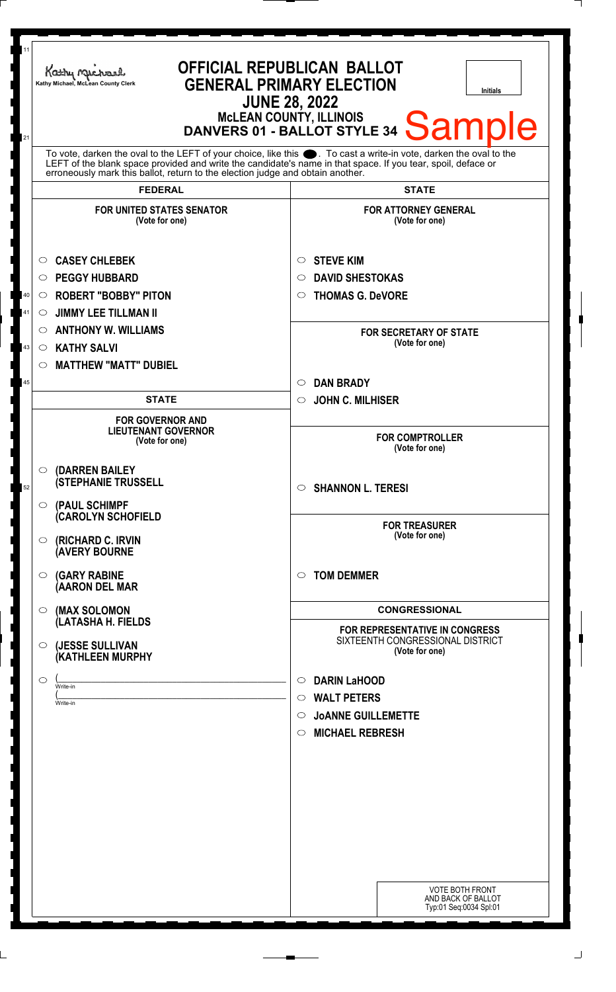| 11<br>21 | <b>OFFICIAL REPUBLICAN BALLOT</b><br>Kathy Michael<br><b>GENERAL PRIMARY ELECTION</b><br>Kathy Michael, McLean County Clerk<br><b>Initials</b><br><b>JUNE 28, 2022</b><br><b>McLEAN COUNTY, ILLINOIS</b><br><b>Sample</b><br>DANVERS 01 - BALLOT STYLE 34                                                              |                                                                   |  |
|----------|------------------------------------------------------------------------------------------------------------------------------------------------------------------------------------------------------------------------------------------------------------------------------------------------------------------------|-------------------------------------------------------------------|--|
|          | To vote, darken the oval to the LEFT of your choice, like this $\bullet$ . To cast a write-in vote, darken the oval to the LEFT of the blank space provided and write the candidate's name in that space. If you tear, spoil, deface<br>erroneously mark this ballot, return to the election judge and obtain another. |                                                                   |  |
|          | <b>FEDERAL</b>                                                                                                                                                                                                                                                                                                         | <b>STATE</b>                                                      |  |
|          | <b>FOR UNITED STATES SENATOR</b><br>(Vote for one)                                                                                                                                                                                                                                                                     | <b>FOR ATTORNEY GENERAL</b><br>(Vote for one)                     |  |
|          | <b>CASEY CHLEBEK</b><br>$\circ$                                                                                                                                                                                                                                                                                        | <b>STEVE KIM</b><br>$\circ$                                       |  |
|          | <b>PEGGY HUBBARD</b><br>$\circ$                                                                                                                                                                                                                                                                                        | <b>DAVID SHESTOKAS</b><br>O                                       |  |
| 40       | <b>ROBERT "BOBBY" PITON</b><br>$\circ$                                                                                                                                                                                                                                                                                 | <b>THOMAS G. DeVORE</b><br>$\circ$                                |  |
| 41       | <b>JIMMY LEE TILLMAN II</b><br>$\circ$                                                                                                                                                                                                                                                                                 |                                                                   |  |
|          | <b>ANTHONY W. WILLIAMS</b><br>$\circ$                                                                                                                                                                                                                                                                                  | <b>FOR SECRETARY OF STATE</b><br>(Vote for one)                   |  |
| 43       | <b>KATHY SALVI</b><br>$\circ$                                                                                                                                                                                                                                                                                          |                                                                   |  |
|          | <b>MATTHEW "MATT" DUBIEL</b><br>$\circ$                                                                                                                                                                                                                                                                                |                                                                   |  |
| 45       | <b>STATE</b>                                                                                                                                                                                                                                                                                                           | <b>DAN BRADY</b><br>$\circ$<br><b>JOHN C. MILHISER</b><br>$\circ$ |  |
|          |                                                                                                                                                                                                                                                                                                                        |                                                                   |  |
|          | <b>FOR GOVERNOR AND</b><br><b>LIEUTENANT GOVERNOR</b><br>(Vote for one)                                                                                                                                                                                                                                                | <b>FOR COMPTROLLER</b><br>(Vote for one)                          |  |
| 52       | (DARREN BAILEY<br>$\circ$<br><b>(STEPHANIE TRUSSELL</b>                                                                                                                                                                                                                                                                | $\circ$ SHANNON L. TERESI                                         |  |
|          | (PAUL SCHIMPF<br>$\circ$<br>(CAROLYN SCHOFIELD                                                                                                                                                                                                                                                                         |                                                                   |  |
|          | (RICHARD C. IRVIN<br>$\circ$<br><b>(AVERY BOURNE</b>                                                                                                                                                                                                                                                                   | <b>FOR TREASURER</b><br>(Vote for one)                            |  |
|          | <b>(GARY RABINE</b><br>$\circ$<br>(AARON DEL MAR                                                                                                                                                                                                                                                                       | <b>TOM DEMMER</b><br>$\circ$                                      |  |
|          | (MAX SOLOMON<br>$\circ$                                                                                                                                                                                                                                                                                                | <b>CONGRESSIONAL</b>                                              |  |
|          | (LATASHA H. FIELDS                                                                                                                                                                                                                                                                                                     | FOR REPRESENTATIVE IN CONGRESS                                    |  |
|          | (JESSE SULLIVAN<br>O<br>(KATHLEEN MURPHY                                                                                                                                                                                                                                                                               | SIXTEENTH CONGRESSIONAL DISTRICT<br>(Vote for one)                |  |
|          | ◯<br>Write-in                                                                                                                                                                                                                                                                                                          | <b>DARIN LaHOOD</b><br>$\circ$                                    |  |
|          | Write-in                                                                                                                                                                                                                                                                                                               | <b>WALT PETERS</b><br>$\circ$                                     |  |
|          |                                                                                                                                                                                                                                                                                                                        | O JOANNE GUILLEMETTE                                              |  |
|          |                                                                                                                                                                                                                                                                                                                        | $\circ$ MICHAEL REBRESH                                           |  |
|          |                                                                                                                                                                                                                                                                                                                        |                                                                   |  |
|          |                                                                                                                                                                                                                                                                                                                        |                                                                   |  |
|          |                                                                                                                                                                                                                                                                                                                        |                                                                   |  |
|          |                                                                                                                                                                                                                                                                                                                        |                                                                   |  |
|          |                                                                                                                                                                                                                                                                                                                        |                                                                   |  |
|          |                                                                                                                                                                                                                                                                                                                        |                                                                   |  |
|          |                                                                                                                                                                                                                                                                                                                        |                                                                   |  |
|          |                                                                                                                                                                                                                                                                                                                        | <b>VOTE BOTH FRONT</b>                                            |  |
|          |                                                                                                                                                                                                                                                                                                                        | AND BACK OF BALLOT<br>Typ:01 Seq:0034 Spl:01                      |  |
|          |                                                                                                                                                                                                                                                                                                                        |                                                                   |  |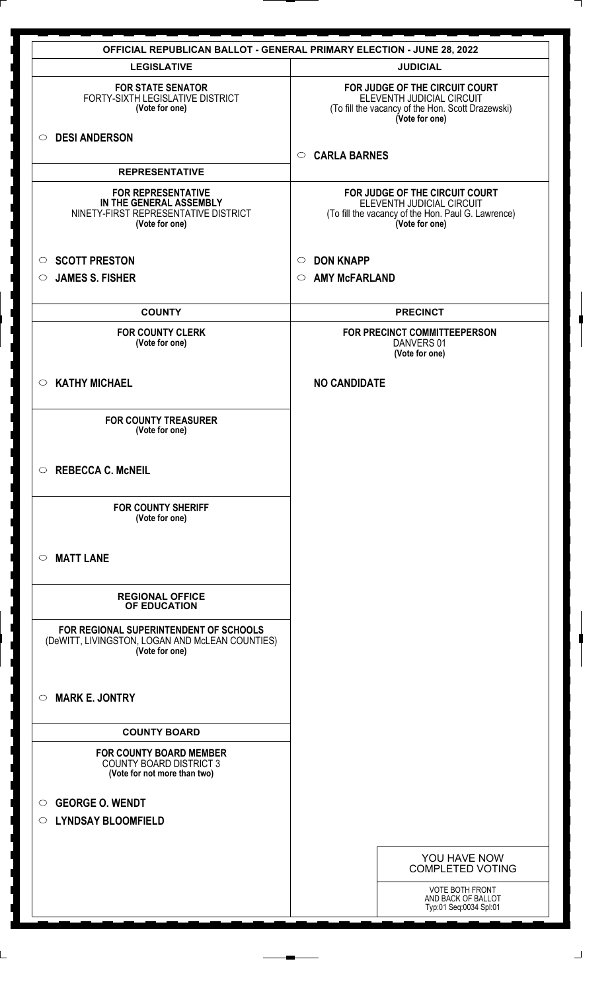|                                                                                                                | <b>OFFICIAL REPUBLICAN BALLOT - GENERAL PRIMARY ELECTION - JUNE 28, 2022</b>                                                        |
|----------------------------------------------------------------------------------------------------------------|-------------------------------------------------------------------------------------------------------------------------------------|
| <b>LEGISLATIVE</b>                                                                                             | <b>JUDICIAL</b>                                                                                                                     |
| <b>FOR STATE SENATOR</b><br>FORTY-SIXTH LEGISLATIVE DISTRICT<br>(Vote for one)                                 | FOR JUDGE OF THE CIRCUIT COURT<br>ELEVENTH JUDICIAL CIRCUIT<br>(To fill the vacancy of the Hon. Scott Drazewski)<br>(Vote for one)  |
| <b>DESI ANDERSON</b><br>$\circ$                                                                                | <b>CARLA BARNES</b><br>$\circ$                                                                                                      |
| <b>REPRESENTATIVE</b>                                                                                          |                                                                                                                                     |
| <b>FOR REPRESENTATIVE</b><br>IN THE GENERAL ASSEMBLY<br>NINETY-FIRST REPRESENTATIVE DISTRICT<br>(Vote for one) | FOR JUDGE OF THE CIRCUIT COURT<br>ELEVENTH JUDICIAL CIRCUIT<br>(To fill the vacancy of the Hon. Paul G. Lawrence)<br>(Vote for one) |
| <b>SCOTT PRESTON</b><br>$\circ$                                                                                | <b>DON KNAPP</b><br>$\circ$                                                                                                         |
| <b>JAMES S. FISHER</b><br>◯                                                                                    | <b>AMY McFARLAND</b><br>$\circ$                                                                                                     |
| <b>COUNTY</b>                                                                                                  | <b>PRECINCT</b>                                                                                                                     |
| <b>FOR COUNTY CLERK</b><br>(Vote for one)                                                                      | FOR PRECINCT COMMITTEEPERSON<br>DANVERS 01<br>(Vote for one)                                                                        |
| <b>KATHY MICHAEL</b><br>$\circ$                                                                                | <b>NO CANDIDATE</b>                                                                                                                 |
| <b>FOR COUNTY TREASURER</b><br>(Vote for one)                                                                  |                                                                                                                                     |
| <b>REBECCA C. McNEIL</b><br>$\circ$                                                                            |                                                                                                                                     |
| <b>FOR COUNTY SHERIFF</b><br>(Vote for one)                                                                    |                                                                                                                                     |
| <b>MATT LANE</b><br>$\bigcirc$                                                                                 |                                                                                                                                     |
| <b>REGIONAL OFFICE</b><br>OF EDUCATION                                                                         |                                                                                                                                     |
| FOR REGIONAL SUPERINTENDENT OF SCHOOLS<br>(DeWITT, LIVINGSTON, LOGAN AND McLEAN COUNTIES)<br>(Vote for one)    |                                                                                                                                     |
| <b>MARK E. JONTRY</b><br>$\bigcirc$                                                                            |                                                                                                                                     |
| <b>COUNTY BOARD</b>                                                                                            |                                                                                                                                     |
| <b>FOR COUNTY BOARD MEMBER</b><br><b>COUNTY BOARD DISTRICT 3</b><br>(Vote for not more than two)               |                                                                                                                                     |
| <b>GEORGE O. WENDT</b><br>$\circ$<br>○ LYNDSAY BLOOMFIELD                                                      |                                                                                                                                     |
|                                                                                                                | YOU HAVE NOW<br><b>COMPLETED VOTING</b>                                                                                             |
|                                                                                                                | <b>VOTE BOTH FRONT</b><br>AND BACK OF BALLOT<br>Typ:01 Seq:0034 Spl:01                                                              |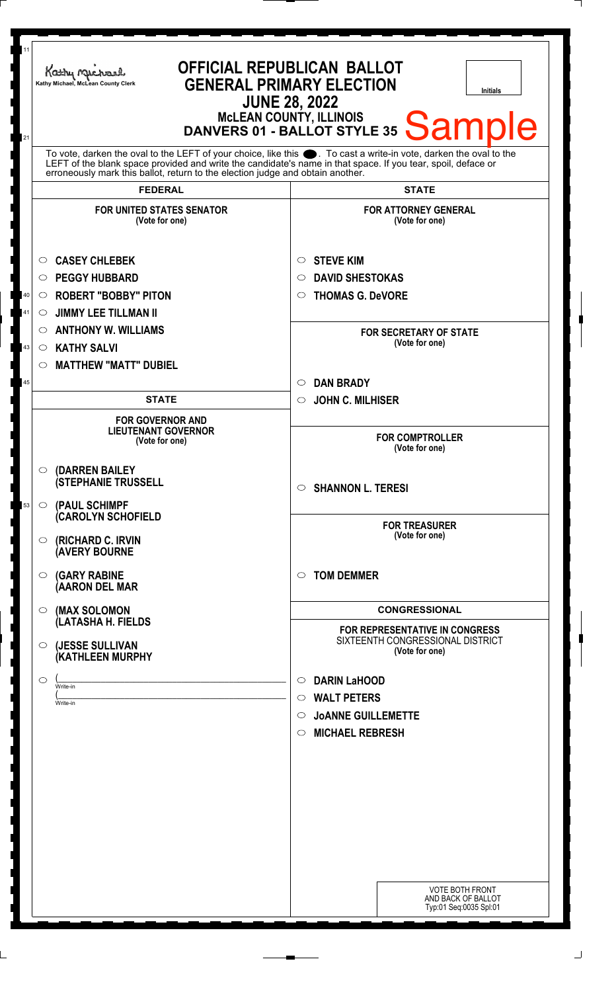| 11<br>21             | OFFICIAL REPUBLICAN BALLOT<br>Kathy Michael<br><b>GENERAL PRIMARY ELECTION</b><br>Kathy Michael, McLean County Clerk<br><b>Initials</b><br><b>JUNE 28, 2022</b><br>MCLEAN COUNTY, ILLINOIS<br>DANVERS 01 - BALLOT STYLE 35 Sample                                                                                                                                                                                                |                                                                                                                                                                                                                                                                                                                                                                                                                 |  |
|----------------------|----------------------------------------------------------------------------------------------------------------------------------------------------------------------------------------------------------------------------------------------------------------------------------------------------------------------------------------------------------------------------------------------------------------------------------|-----------------------------------------------------------------------------------------------------------------------------------------------------------------------------------------------------------------------------------------------------------------------------------------------------------------------------------------------------------------------------------------------------------------|--|
|                      | To vote, darken the oval to the LEFT of your choice, like this $\bullet$ . To cast a write-in vote, darken the oval to the LEFT of the blank space provided and write the candidate's name in that space. If you tear, spoil, deface<br>erroneously mark this ballot, return to the election judge and obtain another.                                                                                                           |                                                                                                                                                                                                                                                                                                                                                                                                                 |  |
|                      | <b>FEDERAL</b>                                                                                                                                                                                                                                                                                                                                                                                                                   | <b>STATE</b>                                                                                                                                                                                                                                                                                                                                                                                                    |  |
| 40<br>41<br>43<br>45 | <b>FOR UNITED STATES SENATOR</b><br>(Vote for one)<br><b>CASEY CHLEBEK</b><br>$\circ$<br><b>PEGGY HUBBARD</b><br>O<br><b>ROBERT "BOBBY" PITON</b><br>O<br><b>JIMMY LEE TILLMAN II</b><br>O<br><b>ANTHONY W. WILLIAMS</b><br>$\circ$<br><b>KATHY SALVI</b><br>$\circ$<br><b>MATTHEW "MATT" DUBIEL</b><br>$\circ$<br><b>STATE</b><br><b>FOR GOVERNOR AND</b>                                                                       | <b>FOR ATTORNEY GENERAL</b><br>(Vote for one)<br><b>STEVE KIM</b><br>$\circ$<br><b>DAVID SHESTOKAS</b><br>$\circ$<br><b>THOMAS G. DeVORE</b><br>$\circ$<br><b>FOR SECRETARY OF STATE</b><br>(Vote for one)<br><b>DAN BRADY</b><br>$\circ$<br><b>JOHN C. MILHISER</b><br>$\circ$                                                                                                                                 |  |
| 53                   | <b>LIEUTENANT GOVERNOR</b><br>(Vote for one)<br>(DARREN BAILEY<br>$\circ$<br><b>(STEPHANIE TRUSSELL</b><br>(PAUL SCHIMPF<br>$\circ$<br><b>(CAROLYN SCHOFIELD</b><br><b>(RICHARD C. IRVIN</b><br>$\circ$<br><b>(AVERY BOURNE</b><br><b>(GARY RABINE</b><br>$\circ$<br>(AARON DEL MAR<br>(MAX SOLOMON<br>$\circ$<br>(LATASHA H. FIELDS<br>(JESSE SULLIVAN<br>$\circ$<br><b>(KATHLEEN MURPHY</b><br>$\circ$<br>Write-in<br>Write-in | <b>FOR COMPTROLLER</b><br>(Vote for one)<br>$\circ$ SHANNON L. TERESI<br><b>FOR TREASURER</b><br>(Vote for one)<br><b>TOM DEMMER</b><br>$\circ$<br><b>CONGRESSIONAL</b><br>FOR REPRESENTATIVE IN CONGRESS<br>SIXTEENTH CONGRESSIONAL DISTRICT<br>(Vote for one)<br><b>DARIN LaHOOD</b><br>$\circ$<br><b>WALT PETERS</b><br>$\circ$<br><b>JOANNE GUILLEMETTE</b><br>$\circ$<br><b>MICHAEL REBRESH</b><br>$\circ$ |  |
|                      |                                                                                                                                                                                                                                                                                                                                                                                                                                  | <b>VOTE BOTH FRONT</b><br>AND BACK OF BALLOT<br>Typ:01 Seq:0035 Spl:01                                                                                                                                                                                                                                                                                                                                          |  |